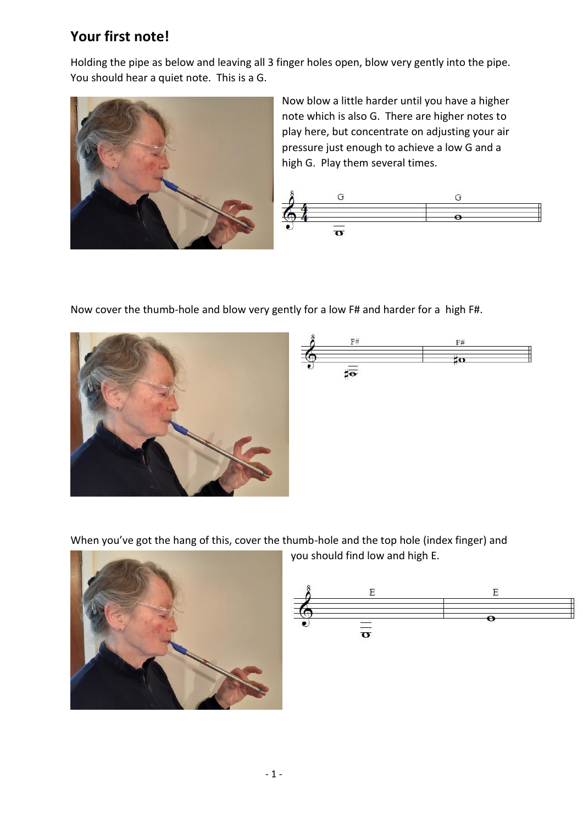## **Your first note!**

Holding the pipe as below and leaving all 3 finger holes open, blow very gently into the pipe. You should hear a quiet note. This is a G.



Now blow a little harder until you have a higher note which is also G. There are higher notes to play here, but concentrate on adjusting your air pressure just enough to achieve a low G and a high G. Play them several times.



Now cover the thumb-hole and blow very gently for a low F# and harder for a high F#.





When you've got the hang of this, cover the thumb-hole and the top hole (index finger) and



you should find low and high E.

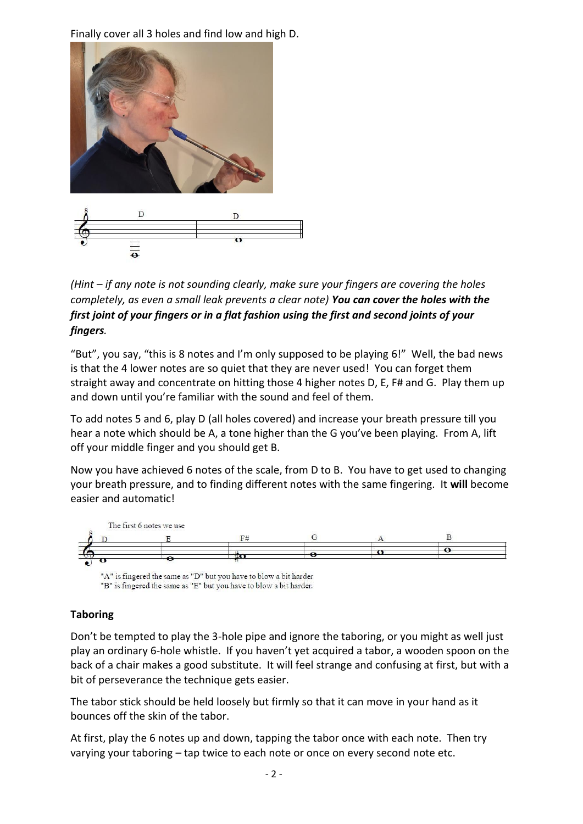Finally cover all 3 holes and find low and high D.



## *(Hint – if any note is not sounding clearly, make sure your fingers are covering the holes completely, as even a small leak prevents a clear note) You can cover the holes with the first joint of your fingers or in a flat fashion using the first and second joints of your fingers.*

"But", you say, "this is 8 notes and I'm only supposed to be playing 6!" Well, the bad news is that the 4 lower notes are so quiet that they are never used! You can forget them straight away and concentrate on hitting those 4 higher notes D, E, F# and G. Play them up and down until you're familiar with the sound and feel of them.

To add notes 5 and 6, play D (all holes covered) and increase your breath pressure till you hear a note which should be A, a tone higher than the G you've been playing. From A, lift off your middle finger and you should get B.

Now you have achieved 6 notes of the scale, from D to B. You have to get used to changing your breath pressure, and to finding different notes with the same fingering. It **will** become easier and automatic!



## **Taboring**

Don't be tempted to play the 3-hole pipe and ignore the taboring, or you might as well just play an ordinary 6-hole whistle. If you haven't yet acquired a tabor, a wooden spoon on the back of a chair makes a good substitute. It will feel strange and confusing at first, but with a bit of perseverance the technique gets easier.

The tabor stick should be held loosely but firmly so that it can move in your hand as it bounces off the skin of the tabor.

At first, play the 6 notes up and down, tapping the tabor once with each note. Then try varying your taboring – tap twice to each note or once on every second note etc.